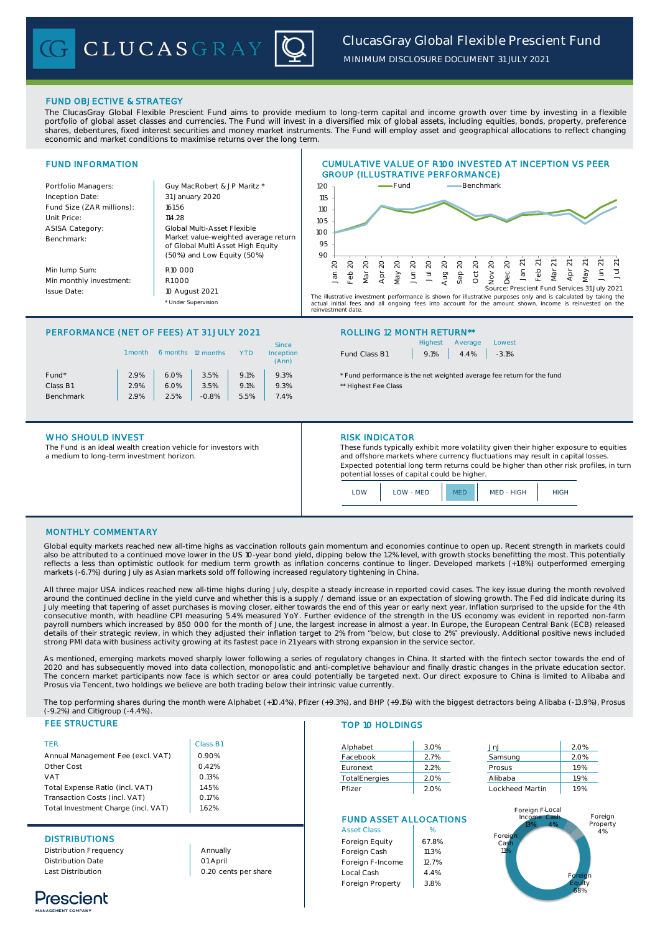

*MINIMUM DISCLOSURE DOCUMENT 31 JULY 2021*

# FUND OBJECTIVE & STRATEGY

The ClucasGray Global Flexible Prescient Fund aims to provide medium to long-term capital and income growth over time by investing in a flexible portfolio of global asset classes and currencies. The Fund will invest in a diversified mix of global assets, including equities, bonds, property, preference shares, debentures, fixed interest securities and money market instruments. The Fund will employ asset and geographical allocations to reflect changing economic and market conditions to maximise returns over the long term.



# PERFORMANCE (NET OF FEES) AT 31 JULY 2021 ROLLING 12 MONTH RETURN\*\*

|                   | 1 month | 6 months | 12 months |      | <b>Since</b><br>Inception<br>(Ann) |
|-------------------|---------|----------|-----------|------|------------------------------------|
| Fund <sup>*</sup> | 2.9%    | 6.0%     | 3.5%      | 9.1% | 9.3%                               |
| Class B1          | 2.9%    | 6.0%     | 3.5%      | 9.1% | 9.3%                               |
| <b>Benchmark</b>  | 2.9%    | 2.5%     | $-0.8%$   | 5.5% | 7.4%                               |
|                   |         |          |           |      |                                    |

## WHO SHOULD INVEST **RISK INDICATOR**

The Fund is an ideal wealth creation vehicle for investors with a medium to long-term investment horizon.

|               |                    | Highest Average | Lowest |
|---------------|--------------------|-----------------|--------|
| Fund Class B1 | $9.1\%$ 4.4% -3.1% |                 |        |

\* Fund performance is the net weighted average fee return for the fund \*\* Highest Fee Class

These funds typically exhibit more volatility given their higher exposure to equities and offshore markets where currency fluctuations may result in capital losses. Expected potential long term returns could be higher than other risk profiles, in turn potential losses of capital could be higher.



## MONTHLY COMMENTARY

Global equity markets reached new all-time highs as vaccination rollouts gain momentum and economies continue to open up. Recent strength in markets could also be attributed to a continued move lower in the US 10-year bond yield, dipping below the 1.2% level, with growth stocks benefitting the most. This potentially reflects a less than optimistic outlook for medium term growth as inflation concerns continue to linger. Developed markets (+1.8%) outperformed emerging markets (-6.7%) during July as Asian markets sold off following increased regulatory tightening in China.

All three major USA indices reached new all-time highs during July, despite a steady increase in reported covid cases. The key issue during the month revolved around the continued decline in the yield curve and whether this is a supply / demand issue or an expectation of slowing growth. The Fed did indicate during its<br>July meeting that tapering of asset purchases is moving close consecutive month, with headline CPI measuring 5.4% measured YoY. Further evidence of the strength in the US economy was evident in reported non-farm payroll numbers which increased by 850 000 for the month of June, the largest increase in almost a year. In Europe, the European Central Bank (ECB) released details of their strategic review, in which they adjusted their inflation target to 2% from "below, but close to 2%" previously. Additional positive news included strong PMI data with business activity growing at its fastest pace in 21 years with strong expansion in the service sector.

As mentioned, emerging markets moved sharply lower following a series of regulatory changes in China. It started with the fintech sector towards the end of 2020 and has subsequently moved into data collection, monopolistic and anti-completive behaviour and finally drastic changes in the private education sector. The concern market participants now face is which sector or area could potentially be targeted next. Our direct exposure to China is limited to Alibaba and Prosus via Tencent, two holdings we believe are both trading below their intrinsic value currently.

The top performing shares during the month were Alphabet (+10.4%), Pfizer (+9.3%), and BHP (+9.1%) with the biggest detractors being Alibaba (-13.9%), Prosus (-9.2%) and Citigroup (-4.4%).

# **FEE STRUCTURE**

| <b>TFR</b>                          | Class B1 |
|-------------------------------------|----------|
| Annual Management Fee (excl. VAT)   | 0.90%    |
| Other Cost                          | 0.42%    |
| VAT                                 | 0.13%    |
| Total Expense Ratio (incl. VAT)     | 1.45%    |
| Transaction Costs (incl. VAT)       | 0.17%    |
| Total Investment Charge (incl. VAT) | 162%     |

## **DISTRIBUTIONS**

Distribution Frequency Distribution Date Last Distribution

Annually 01 April 0.20 cents per share

## TOP 10 HOLDINGS

| 3.0% | JnJ             | 2.0% |
|------|-----------------|------|
| 2.7% | Samsung         | 2.0% |
| 2.2% | Prosus          | 1.9% |
| 2.0% | Alibaba         | 1.9% |
| 2.0% | Lockheed Martin | 1.9% |
|      |                 |      |

# FUND ASSET ALLOCATIONS

| <b>Asset Class</b> | %     |
|--------------------|-------|
| Foreign Equity     | 67.8% |
| Foreign Cash       | 11.3% |
| Foreign F-Income   | 12.7% |
| Local Cash         | 4.4%  |
| Foreign Property   | 3.8%  |